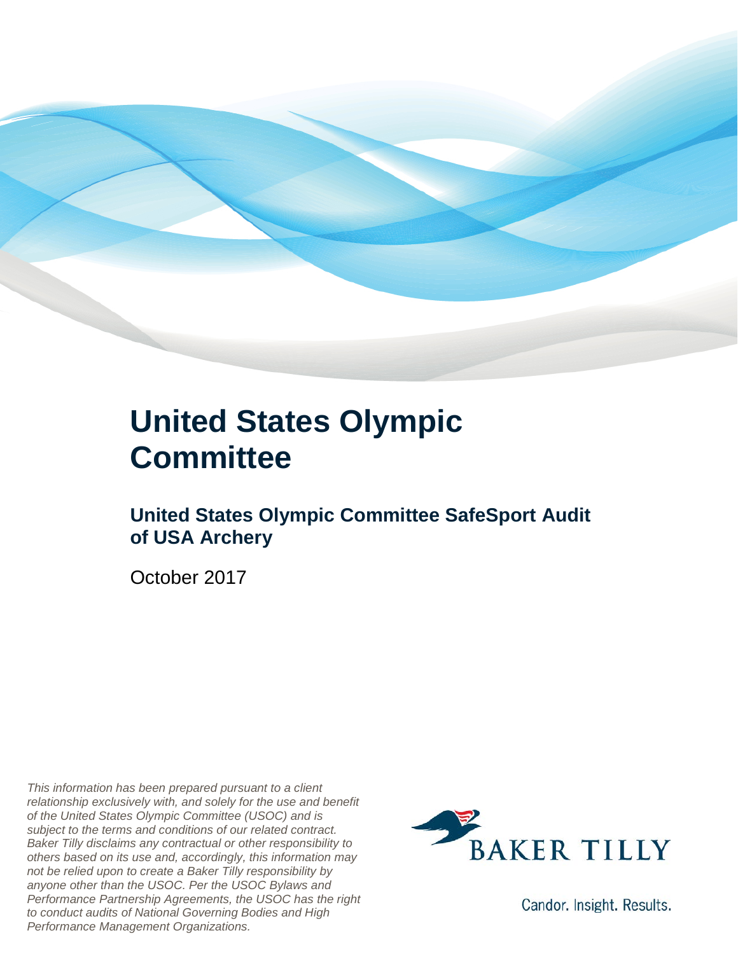

### **United States Olympic Committee**

#### **United States Olympic Committee SafeSport Audit of USA Archery**

October 2017

*This information has been prepared pursuant to a client relationship exclusively with, and solely for the use and benefit of the United States Olympic Committee (USOC) and is subject to the terms and conditions of our related contract. Baker Tilly disclaims any contractual or other responsibility to others based on its use and, accordingly, this information may not be relied upon to create a Baker Tilly responsibility by anyone other than the USOC. Per the USOC Bylaws and Performance Partnership Agreements, the USOC has the right to conduct audits of National Governing Bodies and High Performance Management Organizations.*



Candor. Insight. Results.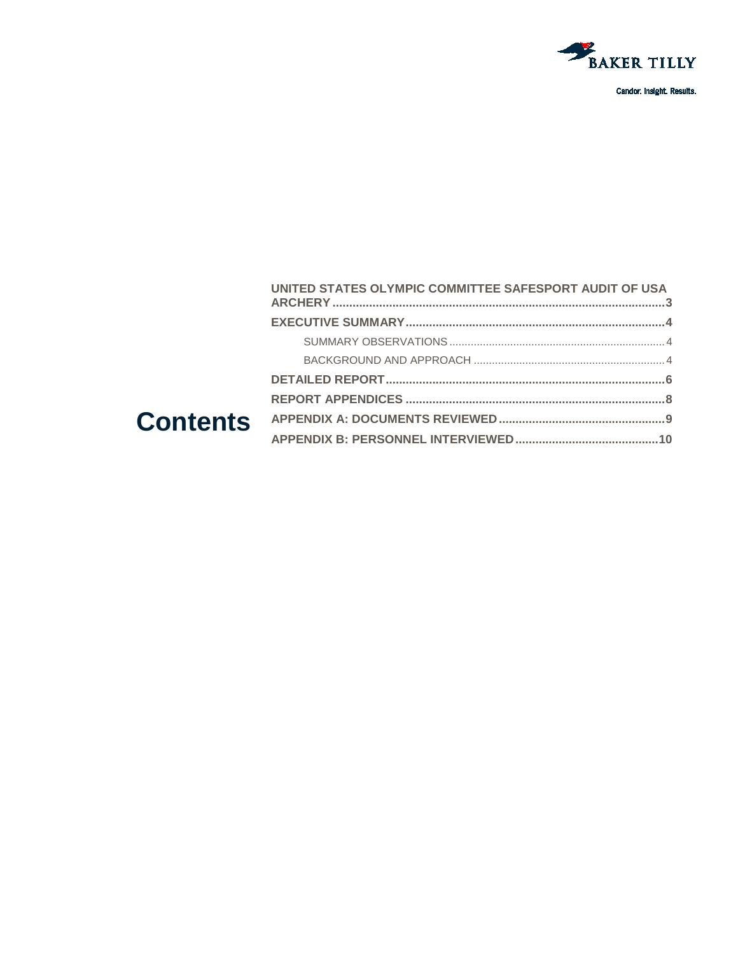

|  | UNITED STATES OLYMPIC COMMITTEE SAFESPORT AUDIT OF USA |  |
|--|--------------------------------------------------------|--|
|  |                                                        |  |
|  |                                                        |  |
|  |                                                        |  |
|  |                                                        |  |
|  |                                                        |  |
|  |                                                        |  |
|  |                                                        |  |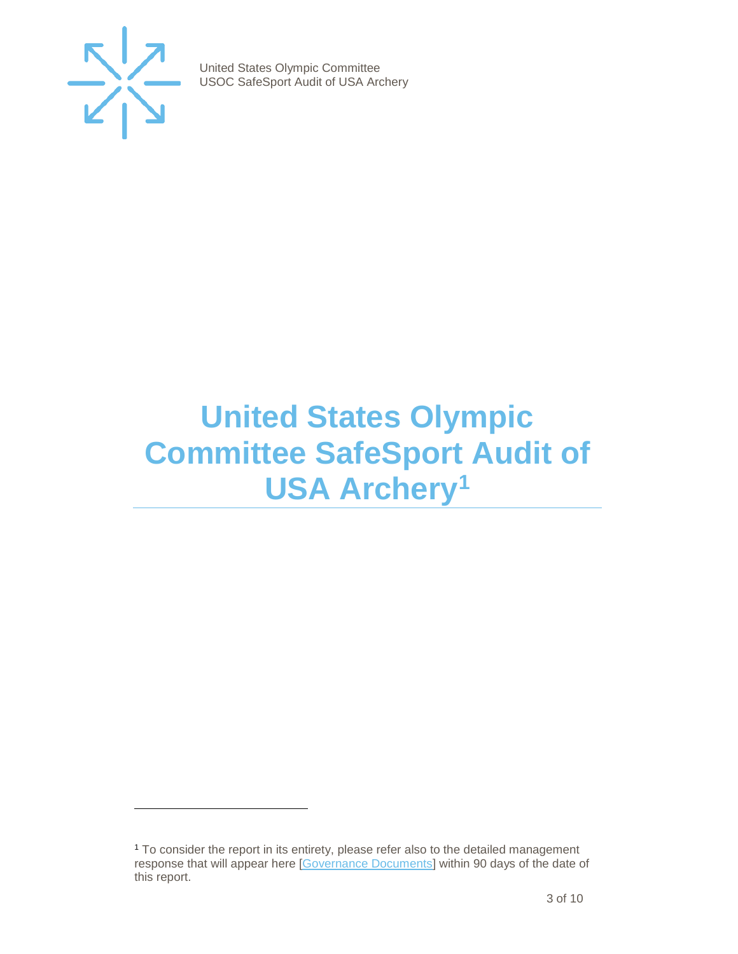

j

United States Olympic Committee USOC SafeSport Audit of USA Archery

## <span id="page-2-0"></span>**United States Olympic Committee SafeSport Audit of USA Archery[1](#page-2-1)**

<span id="page-2-1"></span><sup>1</sup> To consider the report in its entirety, please refer also to the detailed management response that will appear here [\[Governance Documents\]](https://www.teamusa.org/Footer/Legal/Governance-Documents) within 90 days of the date of this report.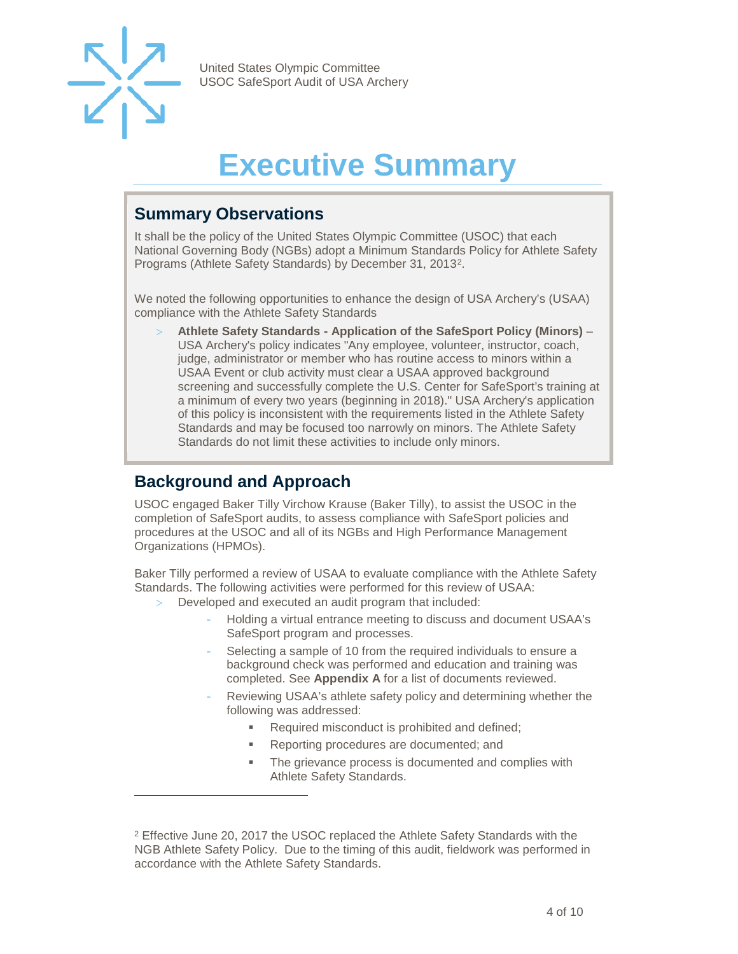

j

United States Olympic Committee USOC SafeSport Audit of USA Archery

# **Executive Summary**

#### <span id="page-3-1"></span><span id="page-3-0"></span>**Summary Observations**

It shall be the policy of the United States Olympic Committee (USOC) that each National Governing Body (NGBs) adopt a Minimum Standards Policy for Athlete Safety Programs (Athlete Safety Standards) by December 31, 2013[2](#page-3-3).

We noted the following opportunities to enhance the design of USA Archery's (USAA) compliance with the Athlete Safety Standards

> **Athlete Safety Standards - Application of the SafeSport Policy (Minors)** – USA Archery's policy indicates "Any employee, volunteer, instructor, coach, judge, administrator or member who has routine access to minors within a USAA Event or club activity must clear a USAA approved background screening and successfully complete the U.S. Center for SafeSport's training at a minimum of every two years (beginning in 2018)." USA Archery's application of this policy is inconsistent with the requirements listed in the Athlete Safety Standards and may be focused too narrowly on minors. The Athlete Safety Standards do not limit these activities to include only minors.

#### <span id="page-3-2"></span>**Background and Approach**

USOC engaged Baker Tilly Virchow Krause (Baker Tilly), to assist the USOC in the completion of SafeSport audits, to assess compliance with SafeSport policies and procedures at the USOC and all of its NGBs and High Performance Management Organizations (HPMOs).

Baker Tilly performed a review of USAA to evaluate compliance with the Athlete Safety Standards. The following activities were performed for this review of USAA:

- Developed and executed an audit program that included:
	- Holding a virtual entrance meeting to discuss and document USAA's SafeSport program and processes.
	- Selecting a sample of 10 from the required individuals to ensure a background check was performed and education and training was completed. See **Appendix A** for a list of documents reviewed.
	- Reviewing USAA's athlete safety policy and determining whether the following was addressed:
		- Required misconduct is prohibited and defined;
		- **Reporting procedures are documented; and**
		- The grievance process is documented and complies with Athlete Safety Standards.

<span id="page-3-3"></span><sup>2</sup> Effective June 20, 2017 the USOC replaced the Athlete Safety Standards with the NGB Athlete Safety Policy. Due to the timing of this audit, fieldwork was performed in accordance with the Athlete Safety Standards.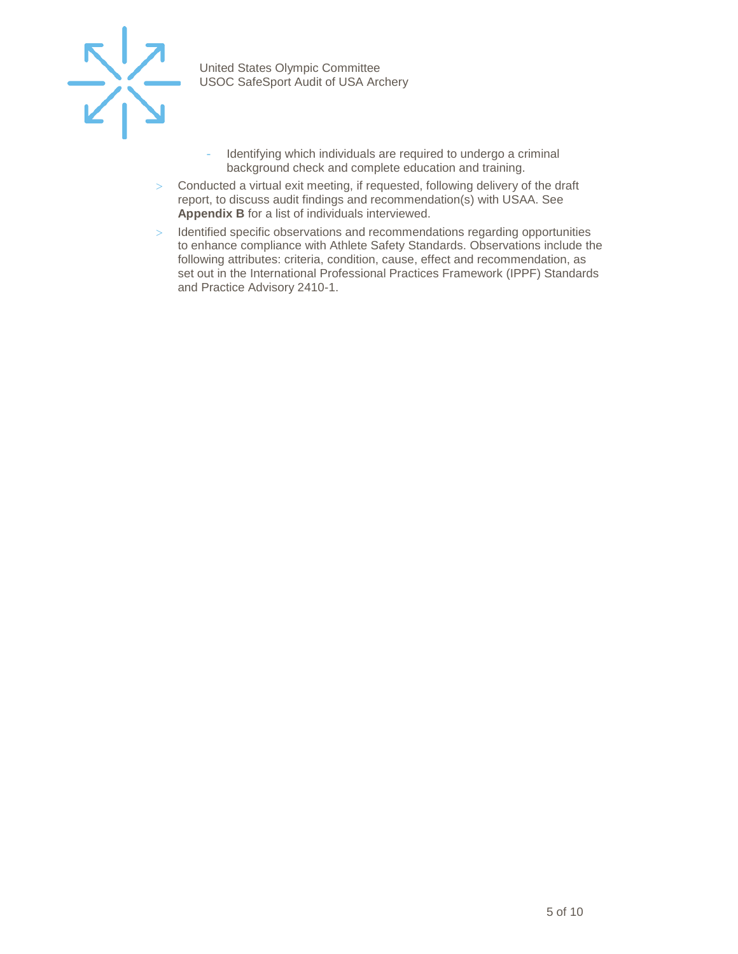

- Identifying which individuals are required to undergo a criminal background check and complete education and training.
- > Conducted a virtual exit meeting, if requested, following delivery of the draft report, to discuss audit findings and recommendation(s) with USAA. See **Appendix B** for a list of individuals interviewed.
- > Identified specific observations and recommendations regarding opportunities to enhance compliance with Athlete Safety Standards. Observations include the following attributes: criteria, condition, cause, effect and recommendation, as set out in the International Professional Practices Framework (IPPF) Standards and Practice Advisory 2410-1.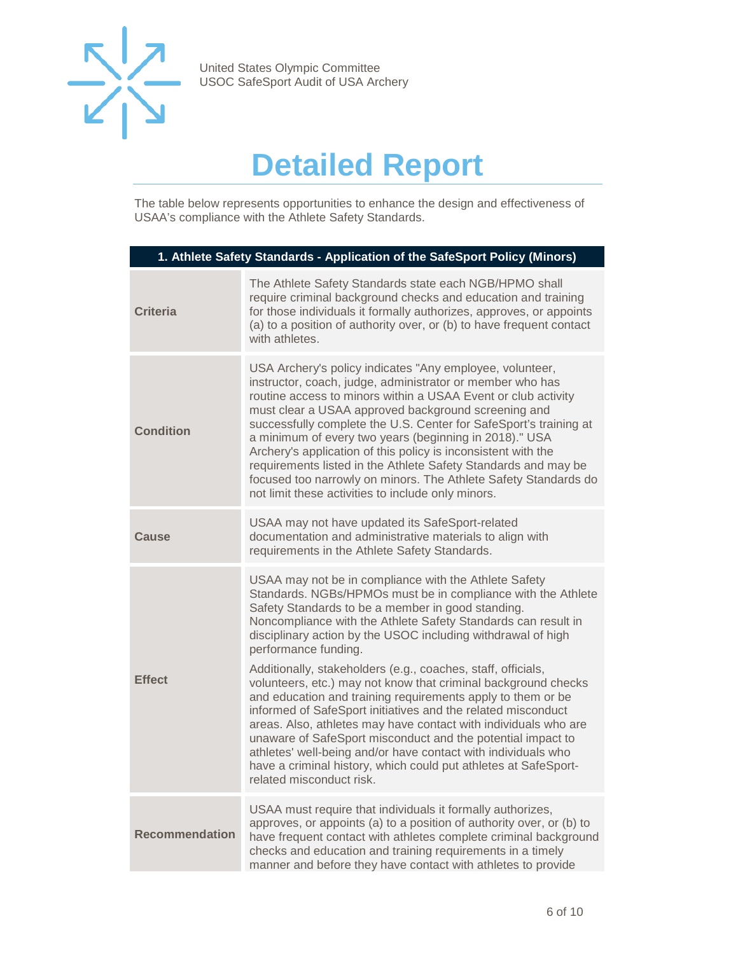

## **Detailed Report**

<span id="page-5-0"></span>The table below represents opportunities to enhance the design and effectiveness of USAA's compliance with the Athlete Safety Standards.

| 1. Athlete Safety Standards - Application of the SafeSport Policy (Minors) |                                                                                                                                                                                                                                                                                                                                                                                                                                                                                                                                                                                                                                                                                                                                                                                                                                                                                                        |  |
|----------------------------------------------------------------------------|--------------------------------------------------------------------------------------------------------------------------------------------------------------------------------------------------------------------------------------------------------------------------------------------------------------------------------------------------------------------------------------------------------------------------------------------------------------------------------------------------------------------------------------------------------------------------------------------------------------------------------------------------------------------------------------------------------------------------------------------------------------------------------------------------------------------------------------------------------------------------------------------------------|--|
| <b>Criteria</b>                                                            | The Athlete Safety Standards state each NGB/HPMO shall<br>require criminal background checks and education and training<br>for those individuals it formally authorizes, approves, or appoints<br>(a) to a position of authority over, or (b) to have frequent contact<br>with athletes.                                                                                                                                                                                                                                                                                                                                                                                                                                                                                                                                                                                                               |  |
| <b>Condition</b>                                                           | USA Archery's policy indicates "Any employee, volunteer,<br>instructor, coach, judge, administrator or member who has<br>routine access to minors within a USAA Event or club activity<br>must clear a USAA approved background screening and<br>successfully complete the U.S. Center for SafeSport's training at<br>a minimum of every two years (beginning in 2018)." USA<br>Archery's application of this policy is inconsistent with the<br>requirements listed in the Athlete Safety Standards and may be<br>focused too narrowly on minors. The Athlete Safety Standards do<br>not limit these activities to include only minors.                                                                                                                                                                                                                                                               |  |
| Cause                                                                      | USAA may not have updated its SafeSport-related<br>documentation and administrative materials to align with<br>requirements in the Athlete Safety Standards.                                                                                                                                                                                                                                                                                                                                                                                                                                                                                                                                                                                                                                                                                                                                           |  |
| <b>Effect</b>                                                              | USAA may not be in compliance with the Athlete Safety<br>Standards. NGBs/HPMOs must be in compliance with the Athlete<br>Safety Standards to be a member in good standing.<br>Noncompliance with the Athlete Safety Standards can result in<br>disciplinary action by the USOC including withdrawal of high<br>performance funding.<br>Additionally, stakeholders (e.g., coaches, staff, officials,<br>volunteers, etc.) may not know that criminal background checks<br>and education and training requirements apply to them or be<br>informed of SafeSport initiatives and the related misconduct<br>areas. Also, athletes may have contact with individuals who are<br>unaware of SafeSport misconduct and the potential impact to<br>athletes' well-being and/or have contact with individuals who<br>have a criminal history, which could put athletes at SafeSport-<br>related misconduct risk. |  |
| <b>Recommendation</b>                                                      | USAA must require that individuals it formally authorizes,<br>approves, or appoints (a) to a position of authority over, or (b) to<br>have frequent contact with athletes complete criminal background<br>checks and education and training requirements in a timely<br>manner and before they have contact with athletes to provide                                                                                                                                                                                                                                                                                                                                                                                                                                                                                                                                                                   |  |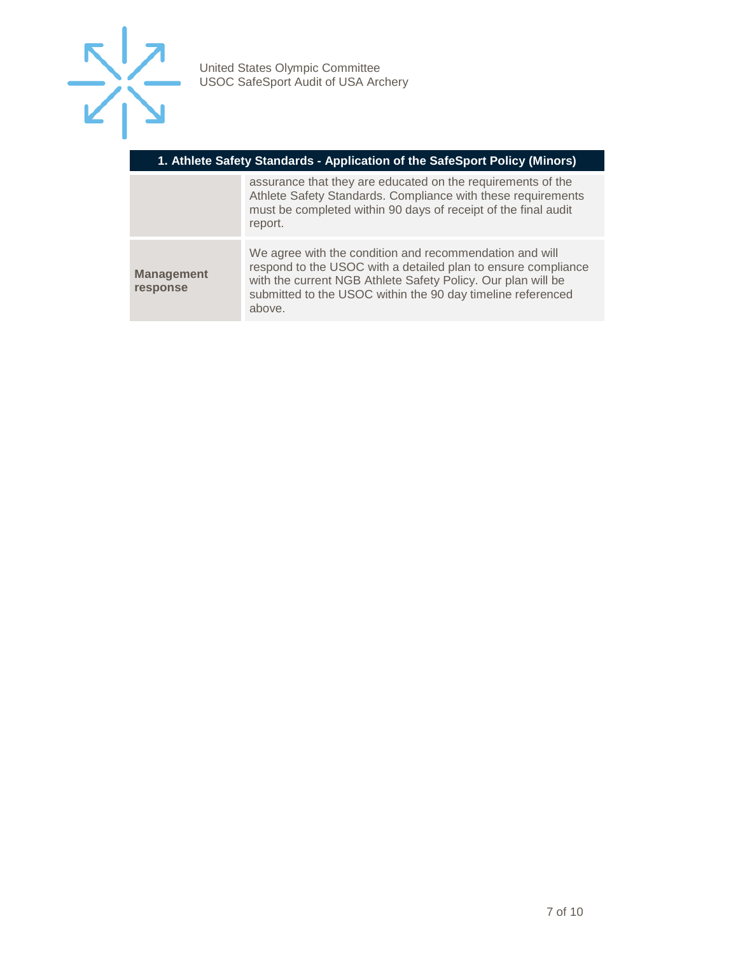

| 1. Athlete Safety Standards - Application of the SafeSport Policy (Minors) |                                                                                                                                                                                                                                                                   |  |
|----------------------------------------------------------------------------|-------------------------------------------------------------------------------------------------------------------------------------------------------------------------------------------------------------------------------------------------------------------|--|
|                                                                            | assurance that they are educated on the requirements of the<br>Athlete Safety Standards. Compliance with these requirements<br>must be completed within 90 days of receipt of the final audit<br>report.                                                          |  |
| <b>Management</b><br>response                                              | We agree with the condition and recommendation and will<br>respond to the USOC with a detailed plan to ensure compliance<br>with the current NGB Athlete Safety Policy. Our plan will be<br>submitted to the USOC within the 90 day timeline referenced<br>above. |  |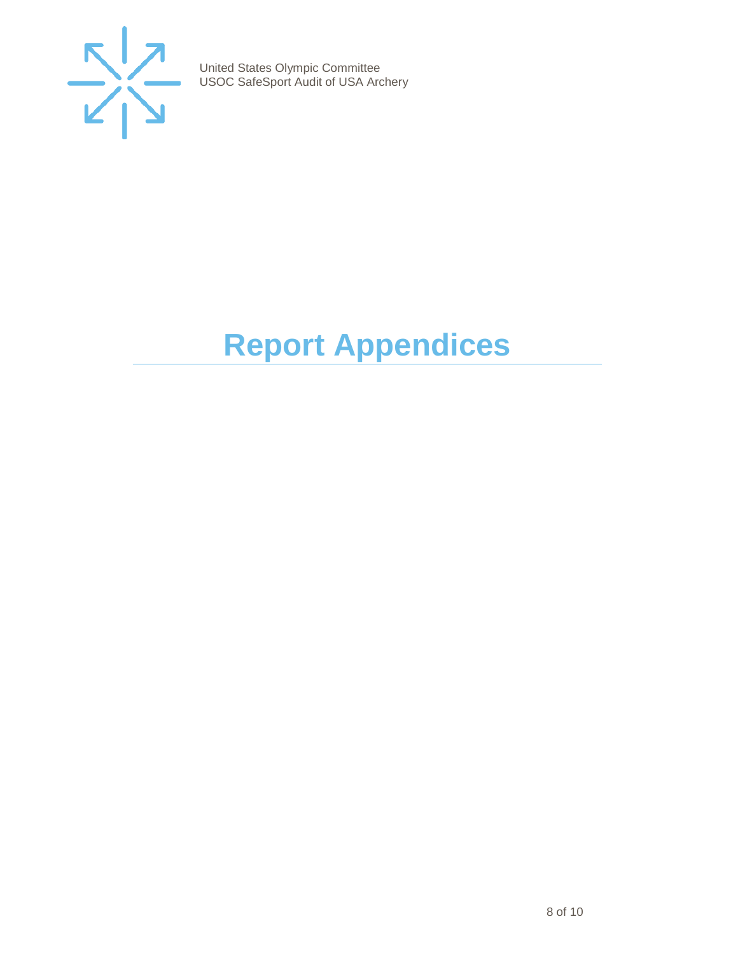

# <span id="page-7-0"></span>**Report Appendices**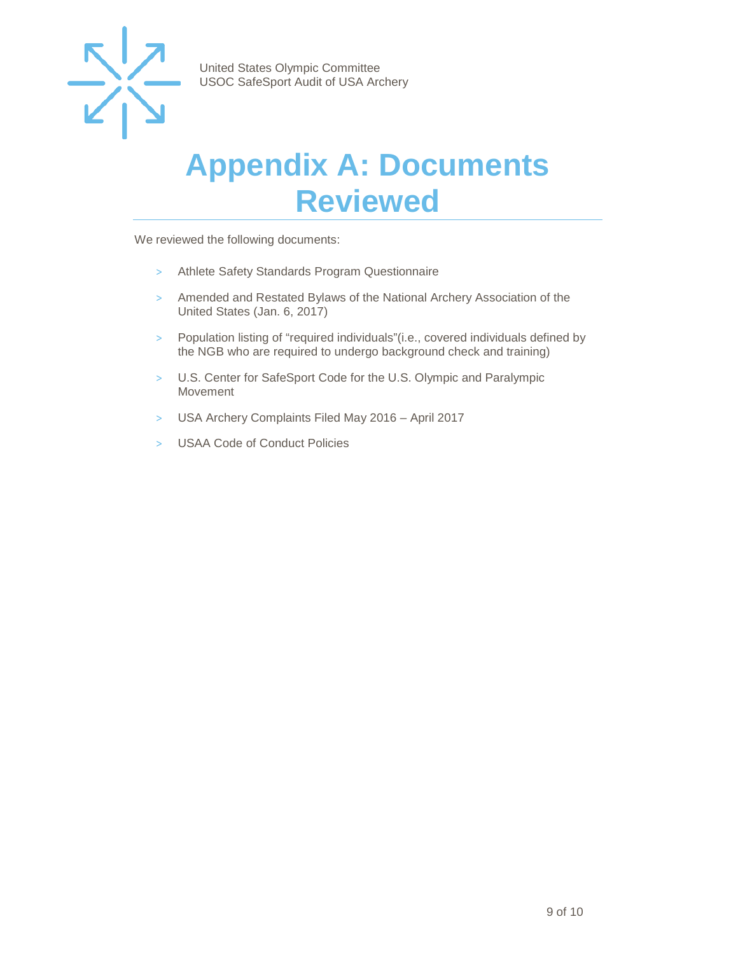

### <span id="page-8-0"></span>**Appendix A: Documents Reviewed**

We reviewed the following documents:

- > Athlete Safety Standards Program Questionnaire
- > Amended and Restated Bylaws of the National Archery Association of the United States (Jan. 6, 2017)
- > Population listing of "required individuals"(i.e., covered individuals defined by the NGB who are required to undergo background check and training)
- > U.S. Center for SafeSport Code for the U.S. Olympic and Paralympic Movement
- > USA Archery Complaints Filed May 2016 April 2017
- > USAA Code of Conduct Policies